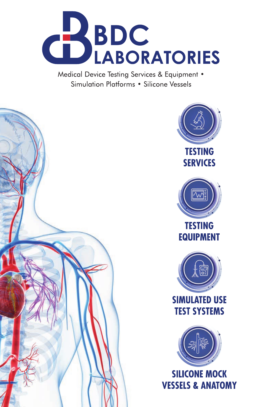

Medical Device Testing Services & Equipment . Simulation Platforms • Silicone Vessels





**VESSELS & ANATOMY**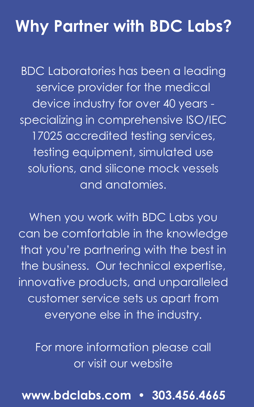#### **Why Partner with BDC Labs?**

BDC Laboratories has been a leading service provider for the medical device industry for over 40 years specializing in comprehensive ISO/IEC 17025 accredited testing services, testing equipment, simulated use solutions, and silicone mock vessels and anatomies.

When you work with BDC Labs you can be comfortable in the knowledge that you're partnering with the best in the business. Our technical expertise, innovative products, and unparalleled customer service sets us apart from everyone else in the industry.

For more information please call or visit our website

#### **www.bdclabs.com • 303.456.4665**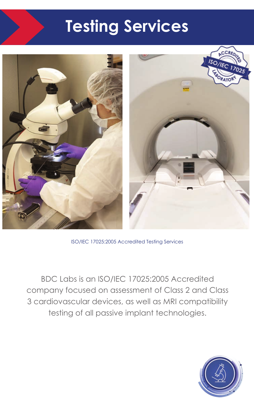### **Testing Services**



ISO/IEC 17025:2005 Accredited Testing Services

BDC Labs is an ISO/IEC 17025:2005 Accredited company focused on assessment of Class 2 and Class 3 cardiovascular devices, as well as MRI compatibility testing of all passive implant technologies.

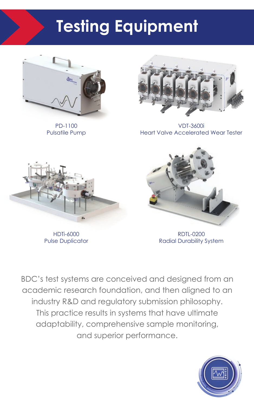## **Testing Equipment**



PD-1100 Pulsatile Pump



VDT-3600i Heart Valve Accelerated Wear Tester



HDTi-6000 Pulse Duplicator



RDTL-0200 Radial Durability System

BDC's test systems are conceived and designed from an academic research foundation, and then aligned to an industry R&D and regulatory submission philosophy. This practice results in systems that have ultimate adaptability, comprehensive sample monitoring, and superior performance.

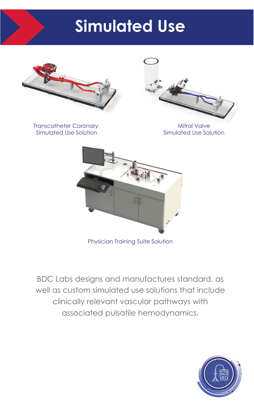## **Simulated Use**



Transcatheter Coronary Simulated Use Solution

Mitral Valve Simulated Use Solution



Physician Training Suite Solution

BDC Labs designs and manufactures standard, as well as custom simulated use solutions that include clinically relevant vascular pathways with associated pulsatile hemodynamics.

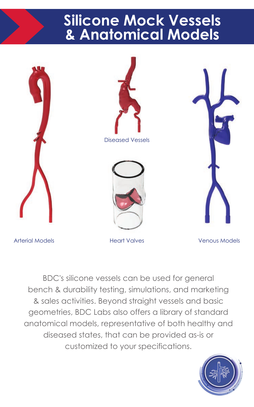#### **Silicone Mock Vessels & Anatomical Models**







Arterial Models Heart Valves Venous Models

BDC's silicone vessels can be used for general bench & durability testing, simulations, and marketing & sales activities. Beyond straight vessels and basic geometries, BDC Labs also offers a library of standard anatomical models, representative of both healthy and diseased states, that can be provided as-is or customized to your specifications.

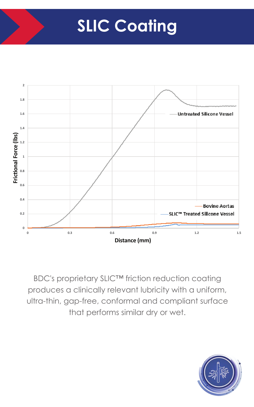## **SLIC Coating**



BDC's proprietary SLIC™ friction reduction coating produces a clinically relevant lubricity with a uniform, ultra-thin, gap-free, conformal and compliant surface that performs similar dry or wet.